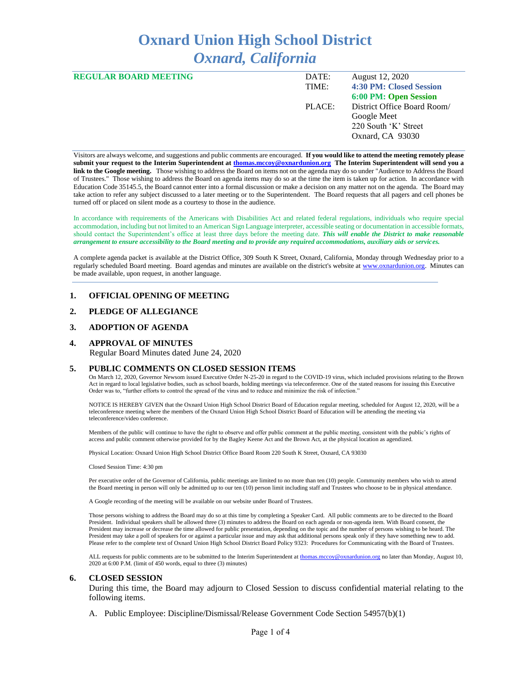# **Oxnard Union High School District** *Oxnard, California*

| <b>REGULAR BOARD MEETING</b> | DATE:  | August 12, 2020             |
|------------------------------|--------|-----------------------------|
|                              | TIME:  | 4:30 PM: Closed Session     |
|                              |        | 6:00 PM: Open Session       |
|                              | PLACE: | District Office Board Room/ |
|                              |        | Google Meet                 |
|                              |        | 220 South 'K' Street        |
|                              |        | Oxnard, CA 93030            |
|                              |        |                             |

Visitors are always welcome, and suggestions and public comments are encouraged. **If you would like to attend the meeting remotely please submit your request to the Interim Superintendent at [thomas.mccoy@oxnardunion.org](mailto:thomas.mccoy@oxnardunion.org) The Interim Superintendent will send you a link to the Google meeting.** Those wishing to address the Board on items not on the agenda may do so under "Audience to Address the Board of Trustees." Those wishing to address the Board on agenda items may do so at the time the item is taken up for action. In accordance with Education Code 35145.5, the Board cannot enter into a formal discussion or make a decision on any matter not on the agenda. The Board may take action to refer any subject discussed to a later meeting or to the Superintendent. The Board requests that all pagers and cell phones be turned off or placed on silent mode as a courtesy to those in the audience.

In accordance with requirements of the Americans with Disabilities Act and related federal regulations, individuals who require special accommodation, including but not limited to an American Sign Language interpreter, accessible seating or documentation in accessible formats, should contact the Superintendent's office at least three days before the meeting date. *This will enable the District to make reasonable arrangement to ensure accessibility to the Board meeting and to provide any required accommodations, auxiliary aids or services.*

A complete agenda packet is available at the District Office, 309 South K Street, Oxnard, California, Monday through Wednesday prior to a regularly scheduled Board meeting. Board agendas and minutes are available on the district's website at [www.ox](http://www.o/)nardunion.org. Minutes can be made available, upon request, in another language.

#### **1. OFFICIAL OPENING OF MEETING**

## **2. PLEDGE OF ALLEGIANCE**

#### **3. ADOPTION OF AGENDA**

#### **4. APPROVAL OF MINUTES**

Regular Board Minutes dated June 24, 2020

#### **5. PUBLIC COMMENTS ON CLOSED SESSION ITEMS**

On March 12, 2020, Governor Newsom issued Executive Order N-25-20 in regard to the COVID-19 virus, which included provisions relating to the Brown Act in regard to local legislative bodies, such as school boards, holding meetings via teleconference. One of the stated reasons for issuing this Executive Order was to, "further efforts to control the spread of the virus and to reduce and minimize the risk of infection."

NOTICE IS HEREBY GIVEN that the Oxnard Union High School District Board of Education regular meeting, scheduled for August 12, 2020, will be a teleconference meeting where the members of the Oxnard Union High School District Board of Education will be attending the meeting via teleconference/video conference.

Members of the public will continue to have the right to observe and offer public comment at the public meeting, consistent with the public's rights of access and public comment otherwise provided for by the Bagley Keene Act and the Brown Act, at the physical location as agendized.

Physical Location: Oxnard Union High School District Office Board Room 220 South K Street, Oxnard, CA 93030

Closed Session Time: 4:30 pm

Per executive order of the Governor of California, public meetings are limited to no more than ten (10) people. Community members who wish to attend the Board meeting in person will only be admitted up to our ten (10) person limit including staff and Trustees who choose to be in physical attendance.

A Google recording of the meeting will be available on our website under Board of Trustees.

Those persons wishing to address the Board may do so at this time by completing a Speaker Card. All public comments are to be directed to the Board President. Individual speakers shall be allowed three (3) minutes to address the Board on each agenda or non-agenda item. With Board consent, the President may increase or decrease the time allowed for public presentation, depending on the topic and the number of persons wishing to be heard. The President may take a poll of speakers for or against a particular issue and may ask that additional persons speak only if they have something new to add. Please refer to the complete text of Oxnard Union High School District Board Policy 9323: Procedures for Communicating with the Board of Trustees.

ALL requests for public comments are to be submitted to the Interim Superintendent at [thomas.mccoy@oxnardunion.org](mailto:thomas.mccoy@oxnardunion.org) no later than Monday, August 10, 2020 at 6:00 P.M. (limit of 450 words, equal to three (3) minutes)

#### **6. CLOSED SESSION**

During this time, the Board may adjourn to Closed Session to discuss confidential material relating to the following items.

A. Public Employee: Discipline/Dismissal/Release Government Code Section 54957(b)(1)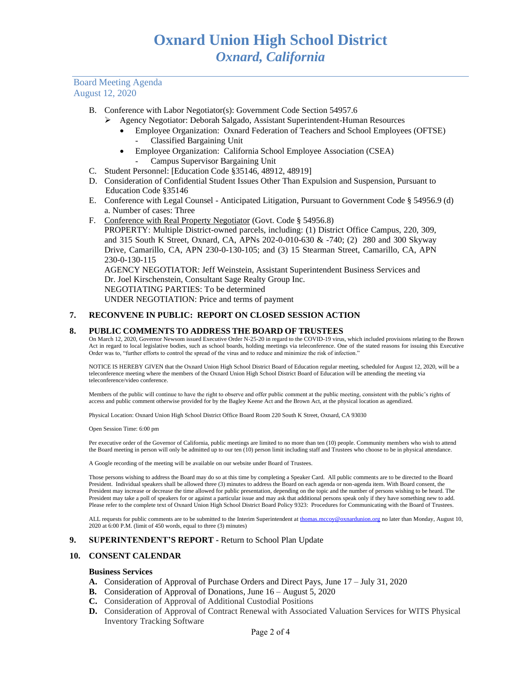## Board Meeting Agenda August 12, 2020

- B. Conference with Labor Negotiator(s): Government Code Section 54957.6
	- ➢ Agency Negotiator: Deborah Salgado, Assistant Superintendent-Human Resources
		- Employee Organization: Oxnard Federation of Teachers and School Employees (OFTSE) - Classified Bargaining Unit
		- Employee Organization: California School Employee Association (CSEA) - Campus Supervisor Bargaining Unit
- C. Student Personnel: [Education Code §35146, 48912, 48919]
- D. Consideration of Confidential Student Issues Other Than Expulsion and Suspension, Pursuant to Education Code §35146
- E. Conference with Legal Counsel Anticipated Litigation, Pursuant to Government Code § 54956.9 (d) a. Number of cases: Three
- F. Conference with Real Property Negotiator (Govt. Code § 54956.8)

PROPERTY: Multiple District-owned parcels, including: (1) District Office Campus, 220, 309, and 315 South K Street, Oxnard, CA, APNs 202-0-010-630 & -740; (2) 280 and 300 Skyway Drive, Camarillo, CA, APN 230-0-130-105; and (3) 15 Stearman Street, Camarillo, CA, APN 230-0-130-115

AGENCY NEGOTIATOR: Jeff Weinstein, Assistant Superintendent Business Services and Dr. Joel Kirschenstein, Consultant Sage Realty Group Inc. NEGOTIATING PARTIES: To be determined UNDER NEGOTIATION: Price and terms of payment

## **7. RECONVENE IN PUBLIC: REPORT ON CLOSED SESSION ACTION**

## **8. PUBLIC COMMENTS TO ADDRESS THE BOARD OF TRUSTEES**

On March 12, 2020, Governor Newsom issued Executive Order N-25-20 in regard to the COVID-19 virus, which included provisions relating to the Brown Act in regard to local legislative bodies, such as school boards, holding meetings via teleconference. One of the stated reasons for issuing this Executive Order was to, "further efforts to control the spread of the virus and to reduce and minimize the risk of infection."

NOTICE IS HEREBY GIVEN that the Oxnard Union High School District Board of Education regular meeting, scheduled for August 12, 2020, will be a teleconference meeting where the members of the Oxnard Union High School District Board of Education will be attending the meeting via teleconference/video conference.

Members of the public will continue to have the right to observe and offer public comment at the public meeting, consistent with the public's rights of access and public comment otherwise provided for by the Bagley Keene Act and the Brown Act, at the physical location as agendized.

Physical Location: Oxnard Union High School District Office Board Room 220 South K Street, Oxnard, CA 93030

Open Session Time: 6:00 pm

Per executive order of the Governor of California, public meetings are limited to no more than ten (10) people. Community members who wish to attend the Board meeting in person will only be admitted up to our ten (10) person limit including staff and Trustees who choose to be in physical attendance.

A Google recording of the meeting will be available on our website under Board of Trustees.

Those persons wishing to address the Board may do so at this time by completing a Speaker Card. All public comments are to be directed to the Board President. Individual speakers shall be allowed three (3) minutes to address the Board on each agenda or non-agenda item. With Board consent, the President may increase or decrease the time allowed for public presentation, depending on the topic and the number of persons wishing to be heard. The President may take a poll of speakers for or against a particular issue and may ask that additional persons speak only if they have something new to add. Please refer to the complete text of Oxnard Union High School District Board Policy 9323: Procedures for Communicating with the Board of Trustees.

ALL requests for public comments are to be submitted to the Interim Superintendent at [thomas.mccoy@oxnardunion.org](mailto:thomas.mccoy@oxnardunion.org) no later than Monday, August 10, 2020 at 6:00 P.M. (limit of 450 words, equal to three (3) minutes)

#### **9. SUPERINTENDENT'S REPORT -** Return to School Plan Update

#### **10. CONSENT CALENDAR**

#### **Business Services**

- **A.** Consideration of Approval of Purchase Orders and Direct Pays, June 17 July 31, 2020
- **B.** Consideration of Approval of Donations, June 16 August 5, 2020
- **C.** Consideration of Approval of Additional Custodial Positions
- **D.** Consideration of Approval of Contract Renewal with Associated Valuation Services for WITS Physical Inventory Tracking Software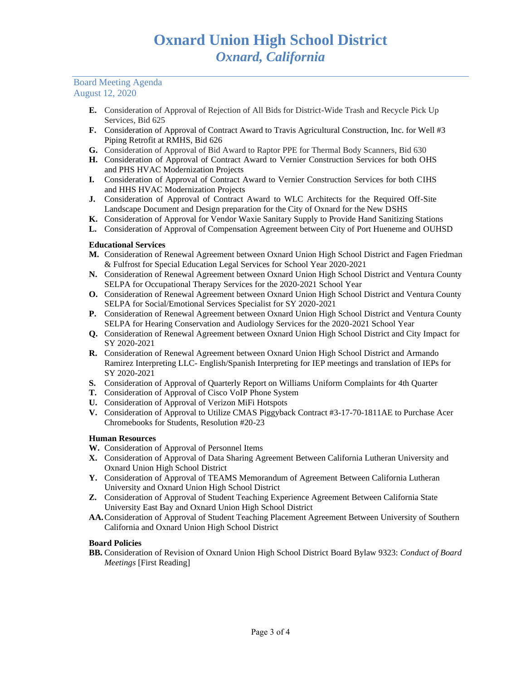# Board Meeting Agenda August 12, 2020

- **E.** Consideration of Approval of Rejection of All Bids for District-Wide Trash and Recycle Pick Up Services, Bid 625
- **F.** Consideration of Approval of Contract Award to Travis Agricultural Construction, Inc. for Well #3 Piping Retrofit at RMHS, Bid 626
- **G.** Consideration of Approval of Bid Award to Raptor PPE for Thermal Body Scanners, Bid 630
- **H.** Consideration of Approval of Contract Award to Vernier Construction Services for both OHS and PHS HVAC Modernization Projects
- **I.** Consideration of Approval of Contract Award to Vernier Construction Services for both CIHS and HHS HVAC Modernization Projects
- **J.** Consideration of Approval of Contract Award to WLC Architects for the Required Off-Site Landscape Document and Design preparation for the City of Oxnard for the New DSHS
- **K.** Consideration of Approval for Vendor Waxie Sanitary Supply to Provide Hand Sanitizing Stations
- **L.** Consideration of Approval of Compensation Agreement between City of Port Hueneme and OUHSD

# **Educational Services**

- **M.** Consideration of Renewal Agreement between Oxnard Union High School District and Fagen Friedman & Fulfrost for Special Education Legal Services for School Year 2020-2021
- **N.** Consideration of Renewal Agreement between Oxnard Union High School District and Ventura County SELPA for Occupational Therapy Services for the 2020-2021 School Year
- **O.** Consideration of Renewal Agreement between Oxnard Union High School District and Ventura County SELPA for Social/Emotional Services Specialist for SY 2020-2021
- **P.** Consideration of Renewal Agreement between Oxnard Union High School District and Ventura County SELPA for Hearing Conservation and Audiology Services for the 2020-2021 School Year
- **Q.** Consideration of Renewal Agreement between Oxnard Union High School District and City Impact for SY 2020-2021
- **R.** Consideration of Renewal Agreement between Oxnard Union High School District and Armando Ramirez Interpreting LLC- English/Spanish Interpreting for IEP meetings and translation of IEPs for SY 2020-2021
- **S.** Consideration of Approval of Quarterly Report on Williams Uniform Complaints for 4th Quarter
- **T.** Consideration of Approval of Cisco VoIP Phone System
- **U.** Consideration of Approval of Verizon MiFi Hotspots
- **V.** Consideration of Approval to Utilize CMAS Piggyback Contract #3-17-70-1811AE to Purchase Acer Chromebooks for Students, Resolution #20-23

# **Human Resources**

- **W.** Consideration of Approval of Personnel Items
- **X.** Consideration of Approval of Data Sharing Agreement Between California Lutheran University and Oxnard Union High School District
- **Y.** Consideration of Approval of TEAMS Memorandum of Agreement Between California Lutheran University and Oxnard Union High School District
- **Z.** Consideration of Approval of Student Teaching Experience Agreement Between California State University East Bay and Oxnard Union High School District
- **AA.**Consideration of Approval of Student Teaching Placement Agreement Between University of Southern California and Oxnard Union High School District

# **Board Policies**

**BB.** Consideration of Revision of Oxnard Union High School District Board Bylaw 9323: *Conduct of Board Meetings* [First Reading]